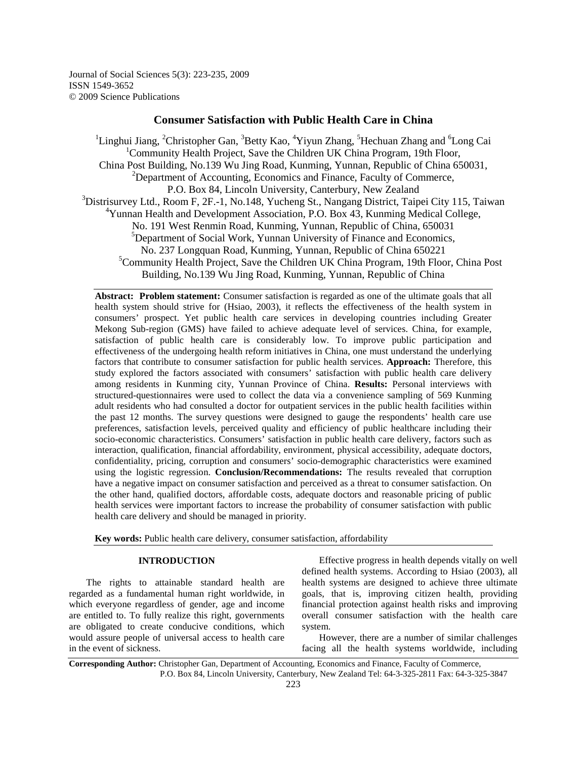Journal of Social Sciences 5(3): 223-235, 2009 ISSN 1549-3652 © 2009 Science Publications

# **Consumer Satisfaction with Public Health Care in China**

<sup>1</sup>Linghui Jiang, <sup>2</sup>Christopher Gan, <sup>3</sup>Betty Kao, <sup>4</sup>Yiyun Zhang, <sup>5</sup>Hechuan Zhang and <sup>6</sup>Long Cai <sup>1</sup>Community Health Project, Save the Children UK China Program, 19th Floor, China Post Building, No.139 Wu Jing Road, Kunming, Yunnan, Republic of China 650031, <sup>2</sup>Department of Accounting, Economics and Finance, Faculty of Commerce, P.O. Box 84, Lincoln University, Canterbury, New Zealand <sup>3</sup>Distrisurvey Ltd., Room F, 2F.-1, No.148, Yucheng St., Nangang District, Taipei City 115, Taiwan <sup>4</sup>Yunnan Health and Development Association, P.O. Box 43, Kunming Medical College, No. 191 West Renmin Road, Kunming, Yunnan, Republic of China, 650031  ${}^{5}$ Department of Social Work, Yunnan University of Finance and Economics, No. 237 Longquan Road, Kunming, Yunnan, Republic of China 650221 <sup>5</sup>Community Health Project, Save the Children UK China Program, 19th Floor, China Post Building, No.139 Wu Jing Road, Kunming, Yunnan, Republic of China

**Abstract: Problem statement:** Consumer satisfaction is regarded as one of the ultimate goals that all health system should strive for (Hsiao, 2003), it reflects the effectiveness of the health system in consumers' prospect. Yet public health care services in developing countries including Greater Mekong Sub-region (GMS) have failed to achieve adequate level of services. China, for example, satisfaction of public health care is considerably low. To improve public participation and effectiveness of the undergoing health reform initiatives in China, one must understand the underlying factors that contribute to consumer satisfaction for public health services. **Approach:** Therefore, this study explored the factors associated with consumers' satisfaction with public health care delivery among residents in Kunming city, Yunnan Province of China. **Results:** Personal interviews with structured-questionnaires were used to collect the data via a convenience sampling of 569 Kunming adult residents who had consulted a doctor for outpatient services in the public health facilities within the past 12 months. The survey questions were designed to gauge the respondents' health care use preferences, satisfaction levels, perceived quality and efficiency of public healthcare including their socio-economic characteristics. Consumers' satisfaction in public health care delivery, factors such as interaction, qualification, financial affordability, environment, physical accessibility, adequate doctors, confidentiality, pricing, corruption and consumers' socio-demographic characteristics were examined using the logistic regression. **Conclusion/Recommendations:** The results revealed that corruption have a negative impact on consumer satisfaction and perceived as a threat to consumer satisfaction. On the other hand, qualified doctors, affordable costs, adequate doctors and reasonable pricing of public health services were important factors to increase the probability of consumer satisfaction with public health care delivery and should be managed in priority.

**Key words:** Public health care delivery, consumer satisfaction, affordability

# **INTRODUCTION**

 The rights to attainable standard health are regarded as a fundamental human right worldwide, in which everyone regardless of gender, age and income are entitled to. To fully realize this right, governments are obligated to create conducive conditions, which would assure people of universal access to health care in the event of sickness.

 Effective progress in health depends vitally on well defined health systems. According to Hsiao (2003), all health systems are designed to achieve three ultimate goals, that is, improving citizen health, providing financial protection against health risks and improving overall consumer satisfaction with the health care system.

 However, there are a number of similar challenges facing all the health systems worldwide, including

**Corresponding Author:** Christopher Gan, Department of Accounting, Economics and Finance, Faculty of Commerce, P.O. Box 84, Lincoln University, Canterbury, New Zealand Tel: 64-3-325-2811 Fax: 64-3-325-3847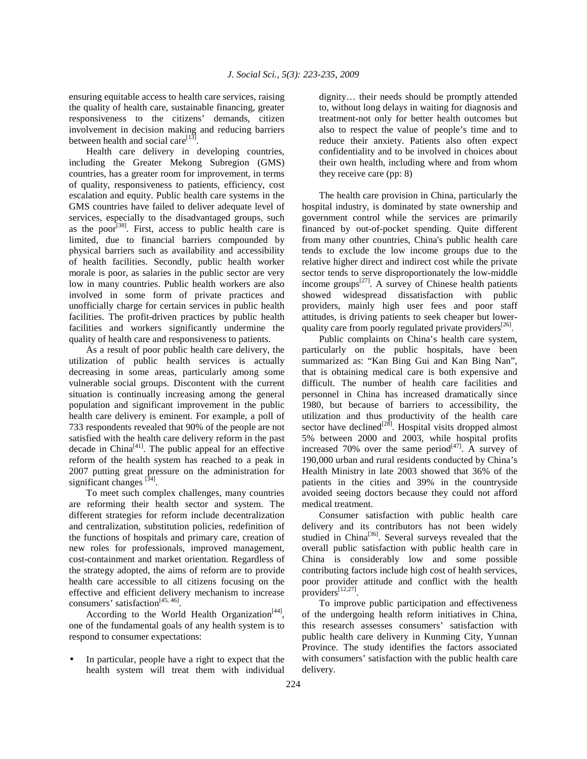ensuring equitable access to health care services, raising the quality of health care, sustainable financing, greater responsiveness to the citizens' demands, citizen involvement in decision making and reducing barriers between health and social care $^{[1\bar{3}]}$ .

 Health care delivery in developing countries, including the Greater Mekong Subregion (GMS) countries, has a greater room for improvement, in terms of quality, responsiveness to patients, efficiency, cost escalation and equity. Public health care systems in the GMS countries have failed to deliver adequate level of services, especially to the disadvantaged groups, such as the poor<sup>[38]</sup>. First, access to public health care is limited, due to financial barriers compounded by physical barriers such as availability and accessibility of health facilities. Secondly, public health worker morale is poor, as salaries in the public sector are very low in many countries. Public health workers are also involved in some form of private practices and unofficially charge for certain services in public health facilities. The profit-driven practices by public health facilities and workers significantly undermine the quality of health care and responsiveness to patients.

 As a result of poor public health care delivery, the utilization of public health services is actually decreasing in some areas, particularly among some vulnerable social groups. Discontent with the current situation is continually increasing among the general population and significant improvement in the public health care delivery is eminent. For example, a poll of 733 respondents revealed that 90% of the people are not satisfied with the health care delivery reform in the past decade in  $China^{[41]}$ . The public appeal for an effective reform of the health system has reached to a peak in 2007 putting great pressure on the administration for significant changes  $^{[34]}$ .

 To meet such complex challenges, many countries are reforming their health sector and system. The different strategies for reform include decentralization and centralization, substitution policies, redefinition of the functions of hospitals and primary care, creation of new roles for professionals, improved management, cost-containment and market orientation. Regardless of the strategy adopted, the aims of reform are to provide health care accessible to all citizens focusing on the effective and efficient delivery mechanism to increase consumers' satisfaction<sup>[45, 46]</sup>.

According to the World Health Organization<sup>[44]</sup>, one of the fundamental goals of any health system is to respond to consumer expectations:

In particular, people have a right to expect that the health system will treat them with individual dignity… their needs should be promptly attended to, without long delays in waiting for diagnosis and treatment-not only for better health outcomes but also to respect the value of people's time and to reduce their anxiety. Patients also often expect confidentiality and to be involved in choices about their own health, including where and from whom they receive care (pp: 8)

 The health care provision in China, particularly the hospital industry, is dominated by state ownership and government control while the services are primarily financed by out-of-pocket spending. Quite different from many other countries, China's public health care tends to exclude the low income groups due to the relative higher direct and indirect cost while the private sector tends to serve disproportionately the low-middle income groups $^{[27]}$ . A survey of Chinese health patients showed widespread dissatisfaction with public providers, mainly high user fees and poor staff attitudes, is driving patients to seek cheaper but lowerquality care from poorly regulated private providers<sup>[26]</sup>.

 Public complaints on China's health care system, particularly on the public hospitals, have been summarized as: "Kan Bing Gui and Kan Bing Nan", that is obtaining medical care is both expensive and difficult. The number of health care facilities and personnel in China has increased dramatically since 1980, but because of barriers to accessibility, the utilization and thus productivity of the health care sector have declined<sup>[28]</sup>. Hospital visits dropped almost 5% between 2000 and 2003, while hospital profits increased 70% over the same period<sup> $[47]$ </sup>. A survey of 190,000 urban and rural residents conducted by China's Health Ministry in late 2003 showed that 36% of the patients in the cities and 39% in the countryside avoided seeing doctors because they could not afford medical treatment.

 Consumer satisfaction with public health care delivery and its contributors has not been widely studied in China<sup>[36]</sup>. Several surveys revealed that the overall public satisfaction with public health care in China is considerably low and some possible contributing factors include high cost of health services, poor provider attitude and conflict with the health providers $^{[12,27]}$ .

 To improve public participation and effectiveness of the undergoing health reform initiatives in China, this research assesses consumers' satisfaction with public health care delivery in Kunming City, Yunnan Province. The study identifies the factors associated with consumers' satisfaction with the public health care delivery.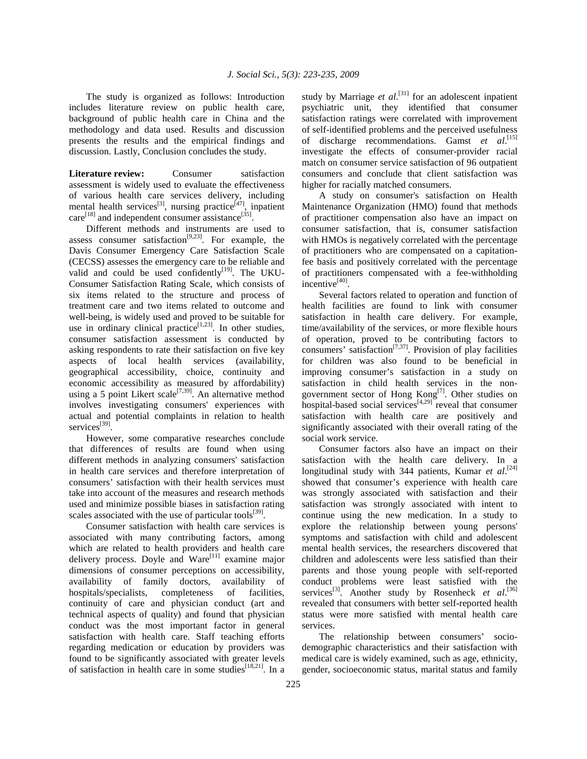The study is organized as follows: Introduction includes literature review on public health care, background of public health care in China and the methodology and data used. Results and discussion presents the results and the empirical findings and discussion. Lastly, Conclusion concludes the study.

**Literature review:** Consumer satisfaction assessment is widely used to evaluate the effectiveness of various health care services delivery, including mental health services<sup>[3]</sup>, nursing practice<sup>[47]</sup>, inpatient care<sup>[18]</sup> and independent consumer assistance<sup>[35]</sup>.

 Different methods and instruments are used to assess consumer satisfaction<sup>[9,23]</sup>. For example, the Davis Consumer Emergency Care Satisfaction Scale (CECSS) assesses the emergency care to be reliable and valid and could be used confidently $[19]$ . The UKU-Consumer Satisfaction Rating Scale, which consists of six items related to the structure and process of treatment care and two items related to outcome and well-being, is widely used and proved to be suitable for use in ordinary clinical practice $[1,23]$ . In other studies, consumer satisfaction assessment is conducted by asking respondents to rate their satisfaction on five key aspects of local health services (availability, geographical accessibility, choice, continuity and economic accessibility as measured by affordability) using a 5 point Likert scale<sup>[7,39]</sup>. An alternative method involves investigating consumers' experiences with actual and potential complaints in relation to health services<sup>[39]</sup>.

 However, some comparative researches conclude that differences of results are found when using different methods in analyzing consumers' satisfaction in health care services and therefore interpretation of consumers' satisfaction with their health services must take into account of the measures and research methods used and minimize possible biases in satisfaction rating scales associated with the use of particular tools $^{[39]}$ .

 Consumer satisfaction with health care services is associated with many contributing factors, among which are related to health providers and health care delivery process. Doyle and  $Ware^{[11]}$  examine major dimensions of consumer perceptions on accessibility, availability of family doctors, availability of hospitals/specialists, completeness of facilities, continuity of care and physician conduct (art and technical aspects of quality) and found that physician conduct was the most important factor in general satisfaction with health care. Staff teaching efforts regarding medication or education by providers was found to be significantly associated with greater levels of satisfaction in health care in some studies<sup>[18,21]</sup>. In a

study by Marriage *et al*.<sup>[31]</sup> for an adolescent inpatient psychiatric unit, they identified that consumer satisfaction ratings were correlated with improvement of self-identified problems and the perceived usefulness of discharge recommendations. Gamst et al.<sup>[15]</sup> investigate the effects of consumer-provider racial match on consumer service satisfaction of 96 outpatient consumers and conclude that client satisfaction was higher for racially matched consumers.

 A study on consumer's satisfaction on Health Maintenance Organization (HMO) found that methods of practitioner compensation also have an impact on consumer satisfaction, that is, consumer satisfaction with HMOs is negatively correlated with the percentage of practitioners who are compensated on a capitationfee basis and positively correlated with the percentage of practitioners compensated with a fee-withholding  $incentive^{[40]}$ .

 Several factors related to operation and function of health facilities are found to link with consumer satisfaction in health care delivery. For example, time/availability of the services, or more flexible hours of operation, proved to be contributing factors to consumers' satisfaction<sup>[7,37]</sup>. Provision of play facilities for children was also found to be beneficial in improving consumer's satisfaction in a study on satisfaction in child health services in the nongovernment sector of Hong Kong<sup>[7]</sup>. Other studies on hospital-based social services $[4,29]$  reveal that consumer satisfaction with health care are positively and significantly associated with their overall rating of the social work service.

 Consumer factors also have an impact on their satisfaction with the health care delivery. In a longitudinal study with 344 patients, Kumar et al.<sup>[24]</sup> showed that consumer's experience with health care was strongly associated with satisfaction and their satisfaction was strongly associated with intent to continue using the new medication. In a study to explore the relationship between young persons' symptoms and satisfaction with child and adolescent mental health services, the researchers discovered that children and adolescents were less satisfied than their parents and those young people with self-reported conduct problems were least satisfied with the services<sup>[3]</sup>. Another study by Rosenheck *et al.*<sup>[36]</sup> revealed that consumers with better self-reported health status were more satisfied with mental health care services.

 The relationship between consumers' sociodemographic characteristics and their satisfaction with medical care is widely examined, such as age, ethnicity, gender, socioeconomic status, marital status and family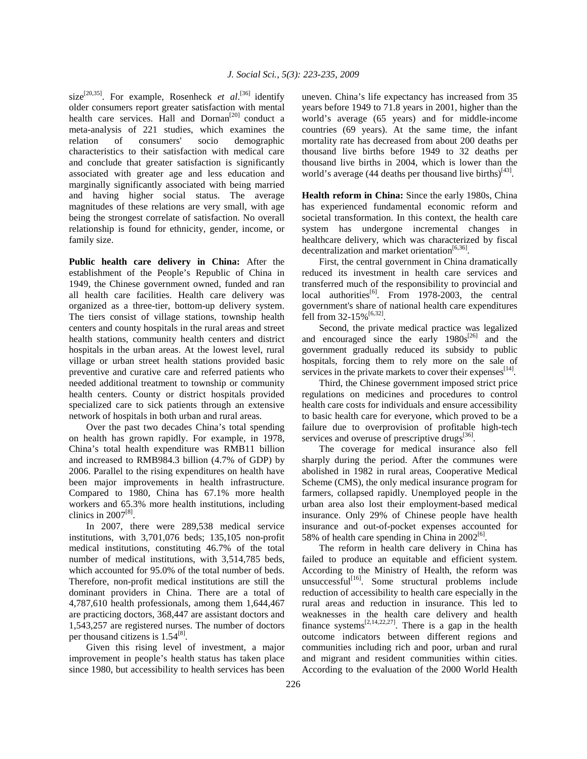size<sup>[20,35]</sup>. For example, Rosenheck *et al*.<sup>[36]</sup> identify older consumers report greater satisfaction with mental health care services. Hall and  $Dorman^{[20]}$  conduct a meta-analysis of 221 studies, which examines the relation of consumers' socio demographic characteristics to their satisfaction with medical care and conclude that greater satisfaction is significantly associated with greater age and less education and marginally significantly associated with being married and having higher social status. The average magnitudes of these relations are very small, with age being the strongest correlate of satisfaction. No overall relationship is found for ethnicity, gender, income, or family size.

**Public health care delivery in China:** After the establishment of the People's Republic of China in 1949, the Chinese government owned, funded and ran all health care facilities. Health care delivery was organized as a three-tier, bottom-up delivery system. The tiers consist of village stations, township health centers and county hospitals in the rural areas and street health stations, community health centers and district hospitals in the urban areas. At the lowest level, rural village or urban street health stations provided basic preventive and curative care and referred patients who needed additional treatment to township or community health centers. County or district hospitals provided specialized care to sick patients through an extensive network of hospitals in both urban and rural areas.

 Over the past two decades China's total spending on health has grown rapidly. For example, in 1978, China's total health expenditure was RMB11 billion and increased to RMB984.3 billion (4.7% of GDP) by 2006. Parallel to the rising expenditures on health have been major improvements in health infrastructure. Compared to 1980, China has 67.1% more health workers and 65.3% more health institutions, including clinics in  $2007^{[8]}$ .

 In 2007, there were 289,538 medical service institutions, with 3,701,076 beds; 135,105 non-profit medical institutions, constituting 46.7% of the total number of medical institutions, with 3,514,785 beds, which accounted for 95.0% of the total number of beds. Therefore, non-profit medical institutions are still the dominant providers in China. There are a total of 4,787,610 health professionals, among them 1,644,467 are practicing doctors, 368,447 are assistant doctors and 1,543,257 are registered nurses. The number of doctors per thousand citizens is  $1.54^{[8]}$ .

 Given this rising level of investment, a major improvement in people's health status has taken place since 1980, but accessibility to health services has been uneven. China's life expectancy has increased from 35 years before 1949 to 71.8 years in 2001, higher than the world's average (65 years) and for middle-income countries (69 years). At the same time, the infant mortality rate has decreased from about 200 deaths per thousand live births before 1949 to 32 deaths per thousand live births in 2004, which is lower than the world's average (44 deaths per thousand live births) $^{[43]}$ .

**Health reform in China:** Since the early 1980s, China has experienced fundamental economic reform and societal transformation. In this context, the health care system has undergone incremental changes in healthcare delivery, which was characterized by fiscal decentralization and market orientation<sup>[6,36]</sup>.

 First, the central government in China dramatically reduced its investment in health care services and transferred much of the responsibility to provincial and local authorities<sup>[6]</sup>. From 1978-2003, the central government's share of national health care expenditures fell from  $32-15\%$ <sup>[6,32]</sup>.

 Second, the private medical practice was legalized and encouraged since the early  $1980s^{[26]}$  and the government gradually reduced its subsidy to public hospitals, forcing them to rely more on the sale of services in the private markets to cover their expenses $[14]$ .

 Third, the Chinese government imposed strict price regulations on medicines and procedures to control health care costs for individuals and ensure accessibility to basic health care for everyone, which proved to be a failure due to overprovision of profitable high-tech services and overuse of prescriptive drugs $^{[36]}$ .

 The coverage for medical insurance also fell sharply during the period. After the communes were abolished in 1982 in rural areas, Cooperative Medical Scheme (CMS), the only medical insurance program for farmers, collapsed rapidly. Unemployed people in the urban area also lost their employment-based medical insurance. Only 29% of Chinese people have health insurance and out-of-pocket expenses accounted for 58% of health care spending in China in  $2002^{[6]}$ .

 The reform in health care delivery in China has failed to produce an equitable and efficient system. According to the Ministry of Health, the reform was unsuccessful<sup>[16]</sup>. Some structural problems include reduction of accessibility to health care especially in the rural areas and reduction in insurance. This led to weaknesses in the health care delivery and health finance systems<sup>[2,14,22,27]</sup>. There is a gap in the health outcome indicators between different regions and communities including rich and poor, urban and rural and migrant and resident communities within cities. According to the evaluation of the 2000 World Health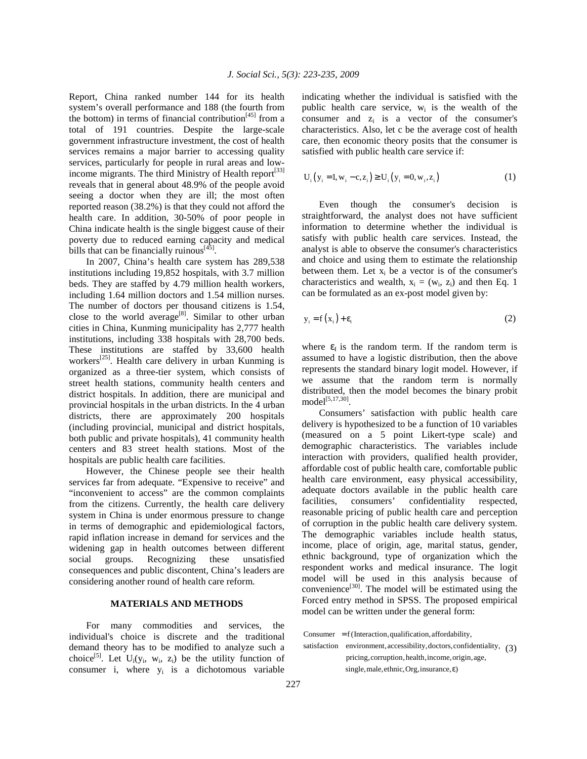Report, China ranked number 144 for its health system's overall performance and 188 (the fourth from the bottom) in terms of financial contribution<sup>[45]</sup> from a total of 191 countries. Despite the large-scale government infrastructure investment, the cost of health services remains a major barrier to accessing quality services, particularly for people in rural areas and lowincome migrants. The third Ministry of Health report<sup>[33]</sup> reveals that in general about 48.9% of the people avoid seeing a doctor when they are ill; the most often reported reason (38.2%) is that they could not afford the health care. In addition, 30-50% of poor people in China indicate health is the single biggest cause of their poverty due to reduced earning capacity and medical bills that can be financially ruinous $^{[45]}$ .

 In 2007, China's health care system has 289,538 institutions including 19,852 hospitals, with 3.7 million beds. They are staffed by 4.79 million health workers, including 1.64 million doctors and 1.54 million nurses. The number of doctors per thousand citizens is 1.54, close to the world average<sup>[8]</sup>. Similar to other urban cities in China, Kunming municipality has 2,777 health institutions, including 338 hospitals with 28,700 beds. These institutions are staffed by 33,600 health workers<sup>[25]</sup>. Health care delivery in urban Kunming is organized as a three-tier system, which consists of street health stations, community health centers and district hospitals. In addition, there are municipal and provincial hospitals in the urban districts. In the 4 urban districts, there are approximately 200 hospitals (including provincial, municipal and district hospitals, both public and private hospitals), 41 community health centers and 83 street health stations. Most of the hospitals are public health care facilities.

 However, the Chinese people see their health services far from adequate. "Expensive to receive" and "inconvenient to access" are the common complaints from the citizens. Currently, the health care delivery system in China is under enormous pressure to change in terms of demographic and epidemiological factors, rapid inflation increase in demand for services and the widening gap in health outcomes between different social groups. Recognizing these unsatisfied consequences and public discontent, China's leaders are considering another round of health care reform.

#### **MATERIALS AND METHODS**

 For many commodities and services, the individual's choice is discrete and the traditional demand theory has to be modified to analyze such a choice<sup>[5]</sup>. Let  $U_i(y_i, w_i, z_i)$  be the utility function of consumer i, where  $y_i$  is a dichotomous variable indicating whether the individual is satisfied with the public health care service,  $w_i$  is the wealth of the consumer and  $z_i$  is a vector of the consumer's characteristics. Also, let c be the average cost of health care, then economic theory posits that the consumer is satisfied with public health care service if:

$$
U_i(y_i = 1, w_i - c, z_i) \ge U_i(y_i = 0, w_i, z_i)
$$
\n(1)

 Even though the consumer's decision is straightforward, the analyst does not have sufficient information to determine whether the individual is satisfy with public health care services. Instead, the analyst is able to observe the consumer's characteristics and choice and using them to estimate the relationship between them. Let  $x_i$  be a vector is of the consumer's characteristics and wealth,  $x_i = (w_i, z_i)$  and then Eq. 1 can be formulated as an ex-post model given by:

$$
y_i = f(x_i) + \varepsilon_i \tag{2}
$$

where  $\varepsilon_I$  is the random term. If the random term is assumed to have a logistic distribution, then the above represents the standard binary logit model. However, if we assume that the random term is normally distributed, then the model becomes the binary probit model<sup>[5,17,30]</sup>.

 Consumers' satisfaction with public health care delivery is hypothesized to be a function of 10 variables (measured on a 5 point Likert-type scale) and demographic characteristics. The variables include interaction with providers, qualified health provider, affordable cost of public health care, comfortable public health care environment, easy physical accessibility, adequate doctors available in the public health care facilities, consumers' confidentiality respected, reasonable pricing of public health care and perception of corruption in the public health care delivery system. The demographic variables include health status, income, place of origin, age, marital status, gender, ethnic background, type of organization which the respondent works and medical insurance. The logit model will be used in this analysis because of convenience<sup>[30]</sup>. The model will be estimated using the Forced entry method in SPSS. The proposed empirical model can be written under the general form:

Consumer  $= f$  (Interaction, qualification, affordability,

satisfaction environment, accessibility, doctors, confidentiality, (3) pricing,corruption,health,income,origin,age, single, male, ethnic, Org, insurance, ε)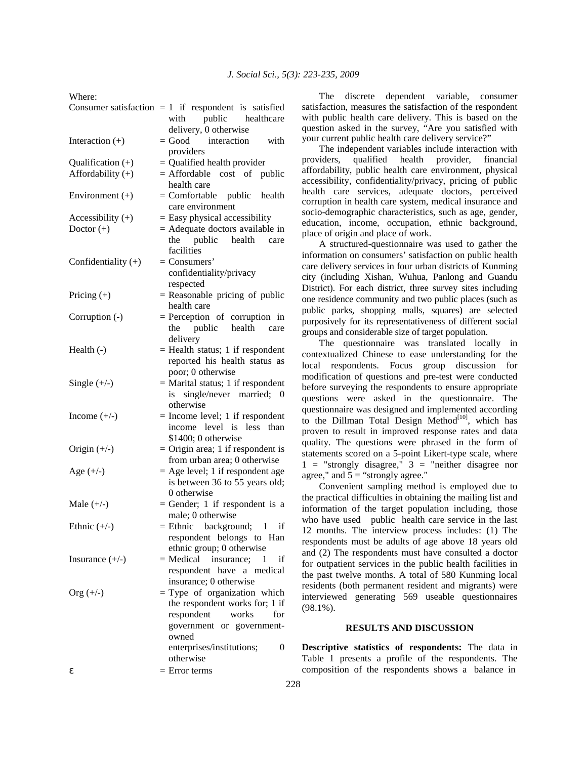| Where:              |                                                        |
|---------------------|--------------------------------------------------------|
|                     | Consumer satisfaction $= 1$ if respondent is satisfied |
|                     | public healthcare<br>with                              |
|                     | delivery, 0 otherwise                                  |
| Interaction $(+)$   | $=$ Good interaction with                              |
|                     |                                                        |
|                     | providers                                              |
| Qualification $(+)$ | $=$ Qualified health provider                          |
| Affordability (+)   | $=$ Affordable cost of public                          |
|                     | health care                                            |
| Environment $(+)$   | $=$ Comfortable public<br>health                       |
|                     | care environment                                       |
| Accessibility $(+)$ | $=$ Easy physical accessibility                        |
| Doctor $(+)$        | = Adequate doctors available in                        |
|                     | the public health<br>care                              |
|                     | facilities                                             |
|                     |                                                        |
| Confidentiality (+) | $=$ Consumers'                                         |
|                     | confidentiality/privacy                                |
|                     | respected                                              |
| Pricing $(+)$       | $=$ Reasonable pricing of public                       |
|                     | health care                                            |
| Corruption (-)      | $=$ Perception of corruption in                        |
|                     | the public health<br>care                              |
|                     | delivery                                               |
| Health $(-)$        | $=$ Health status; 1 if respondent                     |
|                     | reported his health status as                          |
|                     |                                                        |
|                     | poor; 0 otherwise                                      |
| Single $(+/-)$      | $=$ Marital status; 1 if respondent                    |
|                     | single/never married;<br>$\overline{0}$<br>is          |
|                     | otherwise                                              |
| Income $(+/-)$      | $=$ Income level; 1 if respondent                      |
|                     | income level is less than                              |
|                     | \$1400; 0 otherwise                                    |
| Origin $(+/-)$      | $=$ Origin area; 1 if respondent is                    |
|                     | from urban area; 0 otherwise                           |
|                     |                                                        |
| Age $(+/-)$         | $=$ Age level; 1 if respondent age                     |
|                     | is between 36 to 55 years old;                         |
|                     | 0 otherwise                                            |
| Male $(+/-)$        | $=$ Gender; 1 if respondent is a                       |
|                     | male; 0 otherwise                                      |
| Ethnic $(+/-)$      | $=$ Ethnic<br>background;<br>1<br>if                   |
|                     | respondent belongs to Han                              |
|                     | ethnic group; 0 otherwise                              |
| Insurance $(+/-)$   | $=$ Medical<br>insurance;<br>1<br>if                   |
|                     | respondent have<br>a medical                           |
|                     |                                                        |
|                     | insurance; 0 otherwise                                 |
| Org $(+/-)$         | $=$ Type of organization which                         |
|                     | the respondent works for; 1 if                         |
|                     | respondent<br>works<br>for                             |
|                     | government or government-                              |
|                     | owned                                                  |
|                     | enterprises/institutions;<br>0                         |
|                     | otherwise                                              |
| ε                   | $=$ Error terms                                        |
|                     |                                                        |

 The discrete dependent variable, consumer satisfaction, measures the satisfaction of the respondent with public health care delivery. This is based on the question asked in the survey, "Are you satisfied with your current public health care delivery service?"

 The independent variables include interaction with providers, qualified health provider, financial affordability, public health care environment, physical accessibility, confidentiality/privacy, pricing of public health care services, adequate doctors, perceived corruption in health care system, medical insurance and socio-demographic characteristics, such as age, gender, education, income, occupation, ethnic background, place of origin and place of work.

 A structured-questionnaire was used to gather the information on consumers' satisfaction on public health care delivery services in four urban districts of Kunming city (including Xishan, Wuhua, Panlong and Guandu District). For each district, three survey sites including one residence community and two public places (such as public parks, shopping malls, squares) are selected purposively for its representativeness of different social groups and considerable size of target population.

 The questionnaire was translated locally in contextualized Chinese to ease understanding for the local respondents. Focus group discussion for modification of questions and pre-test were conducted before surveying the respondents to ensure appropriate questions were asked in the questionnaire. The questionnaire was designed and implemented according to the Dillman Total Design Method $[10]$ , which has proven to result in improved response rates and data quality. The questions were phrased in the form of statements scored on a 5-point Likert-type scale, where  $1 =$  "strongly disagree,"  $3 =$  "neither disagree nor agree," and  $5 =$  "strongly agree."

 Convenient sampling method is employed due to the practical difficulties in obtaining the mailing list and information of the target population including, those who have used public health care service in the last 12 months. The interview process includes: (1) The respondents must be adults of age above 18 years old and (2) The respondents must have consulted a doctor for outpatient services in the public health facilities in the past twelve months. A total of 580 Kunming local residents (both permanent resident and migrants) were interviewed generating 569 useable questionnaires (98.1%).

## **RESULTS AND DISCUSSION**

**Descriptive statistics of respondents:** The data in Table 1 presents a profile of the respondents. The composition of the respondents shows a balance in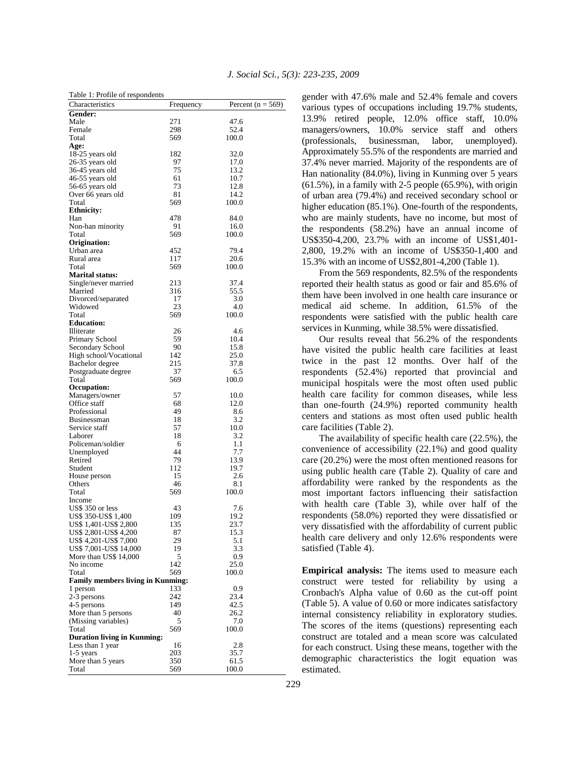| Characteristics                                | Frequency  | Percent ( $n = 569$ ) |
|------------------------------------------------|------------|-----------------------|
| Gender:                                        |            |                       |
| Male                                           | 271        | 47.6                  |
| Female                                         | 298        | 52.4                  |
| Total                                          | 569        | 100.0                 |
| Age:                                           |            |                       |
| 18-25 years old                                | 182        | 32.0                  |
| 26-35 years old                                | 97<br>75   | 17.0<br>13.2          |
| 36-45 years old<br>46-55 years old             | 61         | 10.7                  |
| 56-65 years old                                | 73         | 12.8                  |
| Over 66 years old                              | 81         | 14.2                  |
| Total                                          | 569        | 100.0                 |
| Ethnicity:                                     |            |                       |
| Han                                            | 478        | 84.0                  |
| Non-han minority                               | 91         | 16.0                  |
| Total                                          | 569        | 100.0                 |
| Origination:                                   |            |                       |
| Urban area                                     | 452        | 79.4                  |
| Rural area                                     | 117        | 20.6                  |
| Total                                          | 569        | 100.0                 |
| <b>Marital status:</b><br>Single/never married | 213        | 37.4                  |
| Married                                        | 316        | 55.5                  |
| Divorced/separated                             | 17         | 3.0                   |
| Widowed                                        | 23         | 4.0                   |
| Total                                          | 569        | 100.0                 |
| <b>Education:</b>                              |            |                       |
| Illiterate                                     | 26         | 4.6                   |
| Primary School                                 | 59         | 10.4                  |
| Secondary School                               | 90         | 15.8                  |
| High school/Vocational                         | 142        | 25.0                  |
| Bachelor degree                                | 215        | 37.8                  |
| Postgraduate degree                            | 37         | 6.5                   |
| Total                                          | 569        | 100.0                 |
| Occupation:                                    |            |                       |
| Managers/owner<br>Office staff                 | 57<br>68   | 10.0<br>12.0          |
| Professional                                   | 49         | 8.6                   |
| <b>Businessman</b>                             | 18         | 3.2                   |
| Service staff                                  | 57         | 10.0                  |
| Laborer                                        | 18         | 3.2                   |
| Policeman/soldier                              | 6          | 1.1                   |
| Unemployed                                     | 44         | 7.7                   |
| Retired                                        | 79         | 13.9                  |
| Student                                        | 112        | 19.7                  |
| House person                                   | 15         | 2.6                   |
| Others                                         | 46         | 8.1                   |
| Total                                          | 569        | 100.0                 |
| Income                                         |            |                       |
| US\$ 350 or less                               | 43         | 7.6                   |
| US\$ 350-US\$ 1,400<br>US\$ 1,401-US\$ 2,800   | 109<br>135 | 19.2<br>23.7          |
| US\$ 2,801-US\$ 4,200                          | 87         | 15.3                  |
| US\$ 4,201-US\$ 7,000                          | 29         | 5.1                   |
| US\$ 7,001-US\$ 14,000                         | 19         | 3.3                   |
| More than US\$ 14,000                          | 5          | 0.9                   |
| No income                                      | 142        | 25.0                  |
| Total                                          | 569        | 100.0                 |
| <b>Family members living in Kunming:</b>       |            |                       |
| 1 person                                       | 133        | 0.9                   |
| 2-3 persons                                    | 242        | 23.4                  |
| 4-5 persons                                    | 149        | 42.5                  |
| More than 5 persons                            | 40         | 26.2                  |
| (Missing variables)                            | 5          | 7.0                   |
| Total                                          | 569        | 100.0                 |
| <b>Duration living in Kunming:</b>             |            |                       |
| Less than 1 year                               | 16<br>203  | 2.8                   |
| 1-5 years<br>More than 5 years                 | 350        | 35.7<br>61.5          |
| Total                                          | 569        | 100.0                 |
|                                                |            |                       |

Table 1: Profile of respondents

gender with 47.6% male and 52.4% female and covers various types of occupations including 19.7% students, 13.9% retired people, 12.0% office staff, 10.0% managers/owners, 10.0% service staff and others (professionals, businessman, labor, unemployed). Approximately 55.5% of the respondents are married and 37.4% never married. Majority of the respondents are of Han nationality (84.0%), living in Kunming over 5 years (61.5%), in a family with 2-5 people (65.9%), with origin of urban area (79.4%) and received secondary school or higher education (85.1%). One-fourth of the respondents, who are mainly students, have no income, but most of the respondents (58.2%) have an annual income of US\$350-4,200, 23.7% with an income of US\$1,401- 2,800, 19.2% with an income of US\$350-1,400 and 15.3% with an income of US\$2,801-4,200 (Table 1).

 From the 569 respondents, 82.5% of the respondents reported their health status as good or fair and 85.6% of them have been involved in one health care insurance or medical aid scheme. In addition, 61.5% of the respondents were satisfied with the public health care services in Kunming, while 38.5% were dissatisfied.

 Our results reveal that 56.2% of the respondents have visited the public health care facilities at least twice in the past 12 months. Over half of the respondents (52.4%) reported that provincial and municipal hospitals were the most often used public health care facility for common diseases, while less than one-fourth (24.9%) reported community health centers and stations as most often used public health care facilities (Table 2).

 The availability of specific health care (22.5%), the convenience of accessibility (22.1%) and good quality care (20.2%) were the most often mentioned reasons for using public health care (Table 2). Quality of care and affordability were ranked by the respondents as the most important factors influencing their satisfaction with health care (Table 3), while over half of the respondents (58.0%) reported they were dissatisfied or very dissatisfied with the affordability of current public health care delivery and only 12.6% respondents were satisfied (Table 4).

**Empirical analysis:** The items used to measure each construct were tested for reliability by using a Cronbach's Alpha value of 0.60 as the cut-off point (Table 5). A value of 0.60 or more indicates satisfactory internal consistency reliability in exploratory studies. The scores of the items (questions) representing each construct are totaled and a mean score was calculated for each construct. Using these means, together with the demographic characteristics the logit equation was estimated.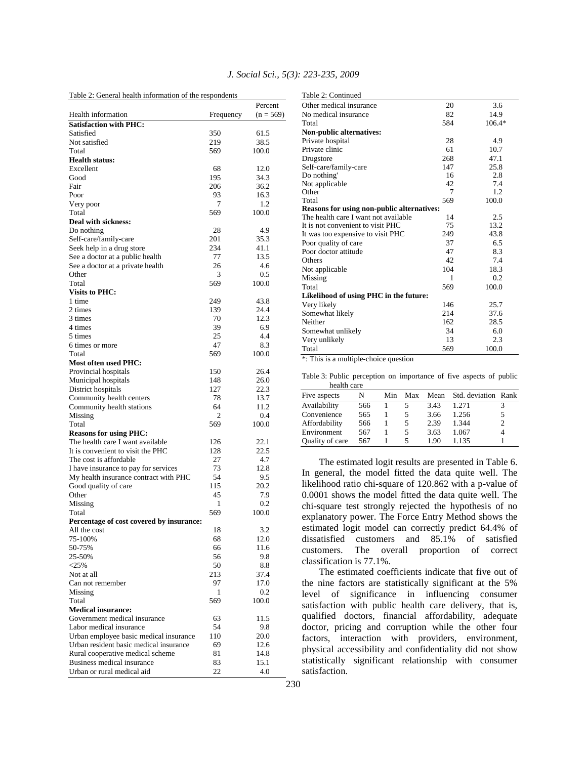| Table 2: General health information of the respondents |                |              |  |  |  |
|--------------------------------------------------------|----------------|--------------|--|--|--|
|                                                        |                | Percent      |  |  |  |
| Health information                                     | Frequency      | $(n = 569)$  |  |  |  |
| <b>Satisfaction with PHC:</b>                          |                |              |  |  |  |
| Satisfied                                              | 350            | 61.5         |  |  |  |
| Not satisfied                                          | 219            | 38.5         |  |  |  |
| Total                                                  | 569            | 100.0        |  |  |  |
| <b>Health status:</b>                                  |                |              |  |  |  |
| Excellent                                              | 68             | 12.0         |  |  |  |
| Good                                                   | 195            | 34.3         |  |  |  |
| Fair                                                   | 206            | 36.2         |  |  |  |
| Poor                                                   | 93             | 16.3         |  |  |  |
| Very poor                                              | 7              | 1.2          |  |  |  |
| Total                                                  | 569            | 100.0        |  |  |  |
| Deal with sickness:                                    |                |              |  |  |  |
| Do nothing                                             | 28             | 4.9          |  |  |  |
| Self-care/family-care                                  | 201            | 35.3         |  |  |  |
| Seek help in a drug store                              | 234            | 41.1         |  |  |  |
| See a doctor at a public health                        | 77             | 13.5         |  |  |  |
| See a doctor at a private health                       | 26             | 4.6          |  |  |  |
| Other                                                  | 3              | 0.5          |  |  |  |
| Total                                                  | 569            | 100.0        |  |  |  |
| <b>Visits to PHC:</b>                                  |                |              |  |  |  |
| 1 time                                                 | 249            | 43.8         |  |  |  |
| 2 times                                                | 139            | 24.4         |  |  |  |
| 3 times                                                | 70             | 12.3         |  |  |  |
| 4 times                                                | 39             | 6.9          |  |  |  |
| 5 times                                                | 25<br>47       | 4.4<br>8.3   |  |  |  |
| 6 times or more                                        |                | 100.0        |  |  |  |
| Total                                                  | 569            |              |  |  |  |
| Most often used PHC:                                   |                |              |  |  |  |
| Provincial hospitals                                   | 150            | 26.4         |  |  |  |
| Municipal hospitals                                    | 148<br>127     | 26.0<br>22.3 |  |  |  |
| District hospitals                                     | 78             | 13.7         |  |  |  |
| Community health centers                               | 64             | 11.2         |  |  |  |
| Community health stations<br>Missing                   | $\overline{c}$ | 0.4          |  |  |  |
| Total                                                  | 569            | 100.0        |  |  |  |
| <b>Reasons for using PHC:</b>                          |                |              |  |  |  |
| The health care I want available                       | 126            | 22.1         |  |  |  |
| It is convenient to visit the PHC                      | 128            | 22.5         |  |  |  |
| The cost is affordable                                 | 27             | 4.7          |  |  |  |
| I have insurance to pay for services                   | 73             | 12.8         |  |  |  |
| My health insurance contract with PHC                  | 54             | 9.5          |  |  |  |
| Good quality of care                                   | 115            | 20.2         |  |  |  |
| Other                                                  | 45             | 7.9          |  |  |  |
| Missing                                                | 1              | 0.2          |  |  |  |
| Total                                                  | 569            | 100.0        |  |  |  |
| Percentage of cost covered by insurance:               |                |              |  |  |  |
| All the cost                                           | 18             | 3.2          |  |  |  |
| 75-100%                                                | 68             | 12.0         |  |  |  |
| 50-75%                                                 | 66             | 11.6         |  |  |  |
| 25-50%                                                 | 56             | 9.8          |  |  |  |
| $<$ 25%                                                | 50             | 8.8          |  |  |  |
| Not at all                                             | 213            | 37.4         |  |  |  |
| Can not remember                                       | 97             | 17.0         |  |  |  |
| Missing                                                | 1              | 0.2          |  |  |  |
| Total                                                  | 569            | 100.0        |  |  |  |
| <b>Medical insurance:</b>                              |                |              |  |  |  |
| Government medical insurance                           | 63             | 11.5         |  |  |  |
| Labor medical insurance                                | 54             | 9.8          |  |  |  |
| Urban employee basic medical insurance                 | 110            | 20.0         |  |  |  |
| Urban resident basic medical insurance                 | 69             | 12.6         |  |  |  |
| Rural cooperative medical scheme                       | 81             | 14.8         |  |  |  |
| Business medical insurance                             | 83             | 15.1         |  |  |  |
| Urban or rural medical aid                             | 22             | 4.0          |  |  |  |
|                                                        |                |              |  |  |  |

# *J. Social Sci., 5(3): 223-235, 2009*

| Table 2: Continued                         |                |        |  |  |  |
|--------------------------------------------|----------------|--------|--|--|--|
| Other medical insurance                    | 20             | 3.6    |  |  |  |
| No medical insurance                       | 82             | 14.9   |  |  |  |
| Total                                      | 584            | 106.4* |  |  |  |
| <b>Non-public alternatives:</b>            |                |        |  |  |  |
| Private hospital                           | 28             | 4.9    |  |  |  |
| Private clinic                             | 61             | 10.7   |  |  |  |
| Drugstore                                  | 268            | 47.1   |  |  |  |
| Self-care/family-care                      | 147            | 25.8   |  |  |  |
| Do nothing'                                | 16             | 2.8    |  |  |  |
| Not applicable                             | 42             | 7.4    |  |  |  |
| Other                                      | $\overline{7}$ | 1.2    |  |  |  |
| Total                                      | 569            | 100.0  |  |  |  |
| Reasons for using non-public alternatives: |                |        |  |  |  |
| The health care I want not available       | 14             | 2.5    |  |  |  |
| It is not convenient to visit PHC          | 75             | 13.2   |  |  |  |
| It was too expensive to visit PHC          | 249            | 43.8   |  |  |  |
| Poor quality of care                       | 37             | 6.5    |  |  |  |
| Poor doctor attitude                       | 47             | 8.3    |  |  |  |
| Others                                     | 42             | 7.4    |  |  |  |
| Not applicable                             | 104            | 18.3   |  |  |  |
| Missing                                    | 1              | 0.2    |  |  |  |
| Total                                      | 569            | 100.0  |  |  |  |
| Likelihood of using PHC in the future:     |                |        |  |  |  |
| Very likely                                | 146            | 25.7   |  |  |  |
| Somewhat likely                            | 214            | 37.6   |  |  |  |
| Neither                                    | 162            | 28.5   |  |  |  |
| Somewhat unlikely                          | 34             | 6.0    |  |  |  |
| Very unlikely                              | 13             | 2.3    |  |  |  |
| Total                                      | 569            | 100.0  |  |  |  |

\*: This is a multiple-choice question

Table 3: Public perception on importance of five aspects of public health care

| Five aspects    | N   | Min | Max | Mean | Std. deviation Rank |  |
|-----------------|-----|-----|-----|------|---------------------|--|
| Availability    | 566 |     |     | 3.43 | 1.271               |  |
| Convenience     | 565 |     | 5   | 3.66 | 1.256               |  |
| Affordability   | 566 |     | 5   | 2.39 | 1.344               |  |
| Environment     | 567 |     | 5   | 3.63 | 1.067               |  |
| Quality of care | 567 |     |     | 1.90 | 1.135               |  |
|                 |     |     |     |      |                     |  |

 The estimated logit results are presented in Table 6. In general, the model fitted the data quite well. The likelihood ratio chi-square of 120.862 with a p-value of 0.0001 shows the model fitted the data quite well. The chi-square test strongly rejected the hypothesis of no explanatory power. The Force Entry Method shows the estimated logit model can correctly predict 64.4% of dissatisfied customers and 85.1% of satisfied customers. The overall proportion of correct classification is 77.1%.

 The estimated coefficients indicate that five out of the nine factors are statistically significant at the 5% level of significance in influencing consumer satisfaction with public health care delivery, that is, qualified doctors, financial affordability, adequate doctor, pricing and corruption while the other four factors, interaction with providers, environment, physical accessibility and confidentiality did not show statistically significant relationship with consumer satisfaction.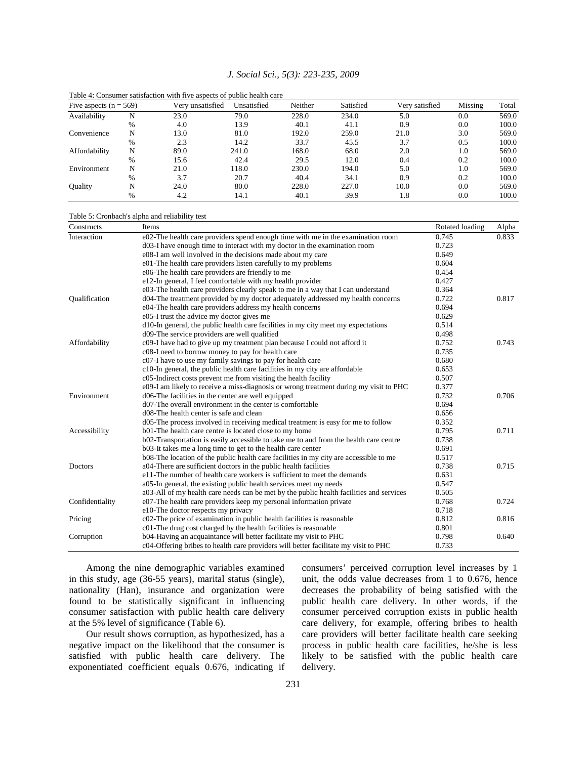## *J. Social Sci., 5(3): 223-235, 2009*

|                          |               | Table 4. Consumer sausfaction with five aspects of public health care |             |         |           |                |         |       |
|--------------------------|---------------|-----------------------------------------------------------------------|-------------|---------|-----------|----------------|---------|-------|
| Five aspects $(n = 569)$ |               | Very unsatisfied                                                      | Unsatisfied | Neither | Satisfied | Very satisfied | Missing | Total |
| Availability             | N             | 23.0                                                                  | 79.0        | 228.0   | 234.0     | 5.0            | 0.0     | 569.0 |
|                          | $\%$          | 4.0                                                                   | 13.9        | 40.1    | 41.1      | 0.9            | 0.0     | 100.0 |
| Convenience              | N             | 13.0                                                                  | 81.0        | 192.0   | 259.0     | 21.0           | 3.0     | 569.0 |
|                          | $\%$          | 2.3                                                                   | 14.2        | 33.7    | 45.5      | 3.7            | 0.5     | 100.0 |
| Affordability            | N             | 89.0                                                                  | 241.0       | 168.0   | 68.0      | 2.0            | 1.0     | 569.0 |
|                          | $\%$          | 15.6                                                                  | 42.4        | 29.5    | 12.0      | 0.4            | 0.2     | 100.0 |
| Environment              | N             | 21.0                                                                  | 118.0       | 230.0   | 194.0     | 5.0            | 1.0     | 569.0 |
|                          | $\%$          | 3.7                                                                   | 20.7        | 40.4    | 34.1      | 0.9            | 0.2     | 100.0 |
| Ouality                  | N             | 24.0                                                                  | 80.0        | 228.0   | 227.0     | 10.0           | 0.0     | 569.0 |
|                          | $\frac{0}{0}$ | 4.2                                                                   | 14.1        | 40.1    | 39.9      | 1.8            | 0.0     | 100.0 |
|                          |               |                                                                       |             |         |           |                |         |       |

Table 4: Consumer satisfaction with five aspects of public health care

| Constructs           | Items                                                                                   | Rotated loading | Alpha |
|----------------------|-----------------------------------------------------------------------------------------|-----------------|-------|
| Interaction          | e02-The health care providers spend enough time with me in the examination room         | 0.745           | 0.833 |
|                      | d03-I have enough time to interact with my doctor in the examination room               | 0.723           |       |
|                      | e08-I am well involved in the decisions made about my care                              | 0.649           |       |
|                      | e01-The health care providers listen carefully to my problems                           | 0.604           |       |
|                      | e06-The health care providers are friendly to me                                        | 0.454           |       |
|                      | e12-In general, I feel comfortable with my health provider                              | 0.427           |       |
|                      | e03-The health care providers clearly speak to me in a way that I can understand        | 0.364           |       |
| <b>Qualification</b> | d04-The treatment provided by my doctor adequately addressed my health concerns         | 0.722           | 0.817 |
|                      | e04-The health care providers address my health concerns                                | 0.694           |       |
|                      | e05-I trust the advice my doctor gives me                                               | 0.629           |       |
|                      | d10-In general, the public health care facilities in my city meet my expectations       | 0.514           |       |
|                      | d09-The service providers are well qualified                                            | 0.498           |       |
| Affordability        | c09-I have had to give up my treatment plan because I could not afford it               | 0.752           | 0.743 |
|                      | c08-I need to borrow money to pay for health care                                       | 0.735           |       |
|                      | c07-I have to use my family savings to pay for health care                              | 0.680           |       |
|                      | c10-In general, the public health care facilities in my city are affordable             | 0.653           |       |
|                      | c05-Indirect costs prevent me from visiting the health facility                         | 0.507           |       |
|                      | e09-I am likely to receive a miss-diagnosis or wrong treatment during my visit to PHC   | 0.377           |       |
| Environment          | d06-The facilities in the center are well equipped                                      | 0.732           | 0.706 |
|                      | d07-The overall environment in the center is comfortable                                | 0.694           |       |
|                      | d08-The health center is safe and clean                                                 | 0.656           |       |
|                      | d05-The process involved in receiving medical treatment is easy for me to follow        | 0.352           |       |
| Accessibility        | b01-The health care centre is located close to my home                                  | 0.795           | 0.711 |
|                      | b02-Transportation is easily accessible to take me to and from the health care centre   | 0.738           |       |
|                      | b03-It takes me a long time to get to the health care center                            | 0.691           |       |
|                      | b08-The location of the public health care facilities in my city are accessible to me   | 0.517           |       |
| Doctors              | a04-There are sufficient doctors in the public health facilities                        | 0.738           | 0.715 |
|                      | e11-The number of health care workers is sufficient to meet the demands                 | 0.631           |       |
|                      | a05-In general, the existing public health services meet my needs                       | 0.547           |       |
|                      | a03-All of my health care needs can be met by the public health facilities and services | 0.505           |       |
| Confidentiality      | e07-The health care providers keep my personal information private                      | 0.768           | 0.724 |
|                      | e10-The doctor respects my privacy                                                      | 0.718           |       |
| Pricing              | c02-The price of examination in public health facilities is reasonable                  | 0.812           | 0.816 |
|                      | c01-The drug cost charged by the health facilities is reasonable                        | 0.801           |       |
| Corruption           | b04-Having an acquaintance will better facilitate my visit to PHC                       | 0.798           | 0.640 |
|                      | c04-Offering bribes to health care providers will better facilitate my visit to PHC     | 0.733           |       |

Table 5: Cronbach's alpha and reliability test

 Among the nine demographic variables examined in this study, age (36-55 years), marital status (single), nationality (Han), insurance and organization were found to be statistically significant in influencing consumer satisfaction with public health care delivery at the 5% level of significance (Table 6).

 Our result shows corruption, as hypothesized, has a negative impact on the likelihood that the consumer is satisfied with public health care delivery. The exponentiated coefficient equals 0.676, indicating if consumers' perceived corruption level increases by 1 unit, the odds value decreases from 1 to 0.676, hence decreases the probability of being satisfied with the public health care delivery. In other words, if the consumer perceived corruption exists in public health care delivery, for example, offering bribes to health care providers will better facilitate health care seeking process in public health care facilities, he/she is less likely to be satisfied with the public health care delivery.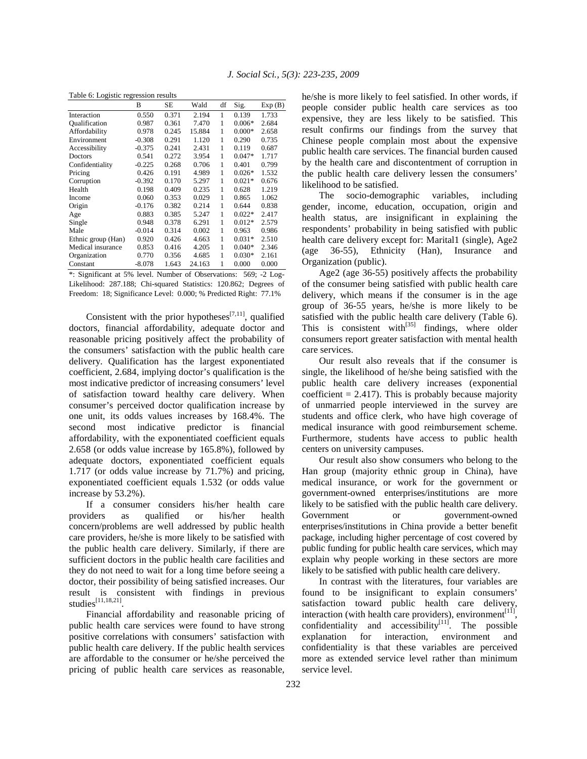Table 6: Logistic regression results

|                    | B        | SE    | Wald   | df | Sig.     | Exp(B) |
|--------------------|----------|-------|--------|----|----------|--------|
| Interaction        | 0.550    | 0.371 | 2.194  | 1  | 0.139    | 1.733  |
| Oualification      | 0.987    | 0.361 | 7.470  | 1  | $0.006*$ | 2.684  |
| Affordability      | 0.978    | 0.245 | 15.884 | 1  | $0.000*$ | 2.658  |
| Environment        | $-0.308$ | 0.291 | 1.120  | 1  | 0.290    | 0.735  |
| Accessibility      | $-0.375$ | 0.241 | 2.431  | 1  | 0.119    | 0.687  |
| Doctors            | 0.541    | 0.272 | 3.954  | 1  | $0.047*$ | 1.717  |
| Confidentiality    | $-0.225$ | 0.268 | 0.706  | 1  | 0.401    | 0.799  |
| Pricing            | 0.426    | 0.191 | 4.989  | 1  | $0.026*$ | 1.532  |
| Corruption         | $-0.392$ | 0.170 | 5.297  | 1  | $0.021*$ | 0.676  |
| Health             | 0.198    | 0.409 | 0.235  | 1  | 0.628    | 1.219  |
| Income             | 0.060    | 0.353 | 0.029  | 1  | 0.865    | 1.062  |
| Origin             | $-0.176$ | 0.382 | 0.214  | 1  | 0.644    | 0.838  |
| Age                | 0.883    | 0.385 | 5.247  | 1  | $0.022*$ | 2.417  |
| Single             | 0.948    | 0.378 | 6.291  | 1  | $0.012*$ | 2.579  |
| Male               | $-0.014$ | 0.314 | 0.002  | 1  | 0.963    | 0.986  |
| Ethnic group (Han) | 0.920    | 0.426 | 4.663  | 1  | $0.031*$ | 2.510  |
| Medical insurance  | 0.853    | 0.416 | 4.205  | 1  | $0.040*$ | 2.346  |
| Organization       | 0.770    | 0.356 | 4.685  | 1  | $0.030*$ | 2.161  |
| Constant           | $-8.078$ | 1.643 | 24.163 | 1  | 0.000    | 0.000  |

\*: Significant at 5% level. Number of Observations: 569; -2 Log-Likelihood: 287.188; Chi-squared Statistics: 120.862; Degrees of Freedom: 18; Significance Level: 0.000; % Predicted Right: 77.1%

Consistent with the prior hypotheses<sup>[7,11]</sup>, qualified doctors, financial affordability, adequate doctor and reasonable pricing positively affect the probability of the consumers' satisfaction with the public health care delivery. Qualification has the largest exponentiated coefficient, 2.684, implying doctor's qualification is the most indicative predictor of increasing consumers' level of satisfaction toward healthy care delivery. When consumer's perceived doctor qualification increase by one unit, its odds values increases by 168.4%. The second most indicative predictor is financial affordability, with the exponentiated coefficient equals 2.658 (or odds value increase by 165.8%), followed by adequate doctors, exponentiated coefficient equals 1.717 (or odds value increase by 71.7%) and pricing, exponentiated coefficient equals 1.532 (or odds value increase by 53.2%).

 If a consumer considers his/her health care providers as qualified or his/her health concern/problems are well addressed by public health care providers, he/she is more likely to be satisfied with the public health care delivery. Similarly, if there are sufficient doctors in the public health care facilities and they do not need to wait for a long time before seeing a doctor, their possibility of being satisfied increases. Our result is consistent with findings in previous studies $^{[11,18,21]}$ .

 Financial affordability and reasonable pricing of public health care services were found to have strong positive correlations with consumers' satisfaction with public health care delivery. If the public health services are affordable to the consumer or he/she perceived the pricing of public health care services as reasonable,

he/she is more likely to feel satisfied. In other words, if people consider public health care services as too expensive, they are less likely to be satisfied. This result confirms our findings from the survey that Chinese people complain most about the expensive public health care services. The financial burden caused by the health care and discontentment of corruption in the public health care delivery lessen the consumers' likelihood to be satisfied.

 The socio-demographic variables, including gender, income, education, occupation, origin and health status, are insignificant in explaining the respondents' probability in being satisfied with public health care delivery except for: Marital1 (single), Age2 (age 36-55), Ethnicity (Han), Insurance and Organization (public).

 Age2 (age 36-55) positively affects the probability of the consumer being satisfied with public health care delivery, which means if the consumer is in the age group of 36-55 years, he/she is more likely to be satisfied with the public health care delivery (Table 6). This is consistent with $^{[35]}$  findings, where older consumers report greater satisfaction with mental health care services.

 Our result also reveals that if the consumer is single, the likelihood of he/she being satisfied with the public health care delivery increases (exponential coefficient  $= 2.417$ ). This is probably because majority of unmarried people interviewed in the survey are students and office clerk, who have high coverage of medical insurance with good reimbursement scheme. Furthermore, students have access to public health centers on university campuses.

 Our result also show consumers who belong to the Han group (majority ethnic group in China), have medical insurance, or work for the government or government-owned enterprises/institutions are more likely to be satisfied with the public health care delivery. Government or government-owned enterprises/institutions in China provide a better benefit package, including higher percentage of cost covered by public funding for public health care services, which may explain why people working in these sectors are more likely to be satisfied with public health care delivery.

 In contrast with the literatures, four variables are found to be insignificant to explain consumers' satisfaction toward public health care delivery, interaction (with health care providers), environment<sup>[11]</sup>, confidentiality and accessibility $[11]$ . The possible explanation for interaction, environment and confidentiality is that these variables are perceived more as extended service level rather than minimum service level.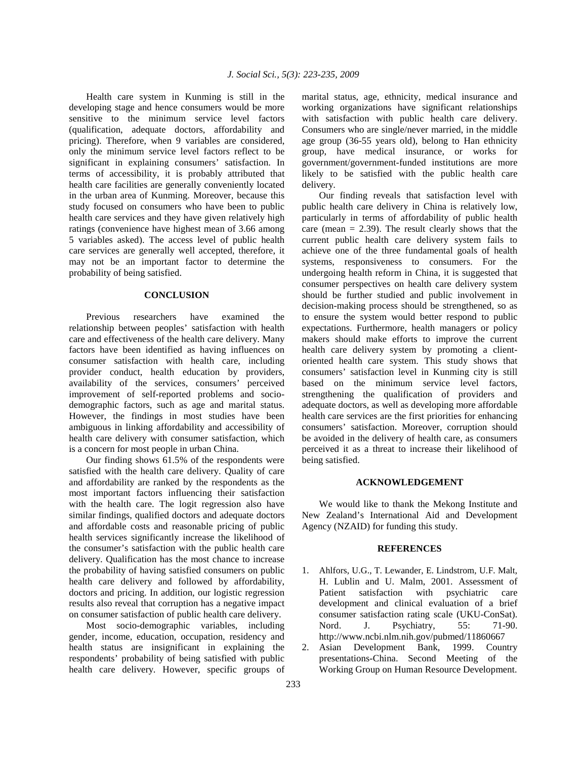Health care system in Kunming is still in the developing stage and hence consumers would be more sensitive to the minimum service level factors (qualification, adequate doctors, affordability and pricing). Therefore, when 9 variables are considered, only the minimum service level factors reflect to be significant in explaining consumers' satisfaction. In terms of accessibility, it is probably attributed that health care facilities are generally conveniently located in the urban area of Kunming. Moreover, because this study focused on consumers who have been to public health care services and they have given relatively high ratings (convenience have highest mean of 3.66 among 5 variables asked). The access level of public health care services are generally well accepted, therefore, it may not be an important factor to determine the probability of being satisfied.

## **CONCLUSION**

 Previous researchers have examined the relationship between peoples' satisfaction with health care and effectiveness of the health care delivery. Many factors have been identified as having influences on consumer satisfaction with health care, including provider conduct, health education by providers, availability of the services, consumers' perceived improvement of self-reported problems and sociodemographic factors, such as age and marital status. However, the findings in most studies have been ambiguous in linking affordability and accessibility of health care delivery with consumer satisfaction, which is a concern for most people in urban China.

 Our finding shows 61.5% of the respondents were satisfied with the health care delivery. Quality of care and affordability are ranked by the respondents as the most important factors influencing their satisfaction with the health care. The logit regression also have similar findings, qualified doctors and adequate doctors and affordable costs and reasonable pricing of public health services significantly increase the likelihood of the consumer's satisfaction with the public health care delivery. Qualification has the most chance to increase the probability of having satisfied consumers on public health care delivery and followed by affordability, doctors and pricing. In addition, our logistic regression results also reveal that corruption has a negative impact on consumer satisfaction of public health care delivery.

 Most socio-demographic variables, including gender, income, education, occupation, residency and health status are insignificant in explaining the respondents' probability of being satisfied with public health care delivery. However, specific groups of marital status, age, ethnicity, medical insurance and working organizations have significant relationships with satisfaction with public health care delivery. Consumers who are single/never married, in the middle age group (36-55 years old), belong to Han ethnicity group, have medical insurance, or works for government/government-funded institutions are more likely to be satisfied with the public health care delivery.

 Our finding reveals that satisfaction level with public health care delivery in China is relatively low, particularly in terms of affordability of public health care (mean  $= 2.39$ ). The result clearly shows that the current public health care delivery system fails to achieve one of the three fundamental goals of health systems, responsiveness to consumers. For the undergoing health reform in China, it is suggested that consumer perspectives on health care delivery system should be further studied and public involvement in decision-making process should be strengthened, so as to ensure the system would better respond to public expectations. Furthermore, health managers or policy makers should make efforts to improve the current health care delivery system by promoting a clientoriented health care system. This study shows that consumers' satisfaction level in Kunming city is still based on the minimum service level factors, strengthening the qualification of providers and adequate doctors, as well as developing more affordable health care services are the first priorities for enhancing consumers' satisfaction. Moreover, corruption should be avoided in the delivery of health care, as consumers perceived it as a threat to increase their likelihood of being satisfied.

#### **ACKNOWLEDGEMENT**

 We would like to thank the Mekong Institute and New Zealand's International Aid and Development Agency (NZAID) for funding this study.

## **REFERENCES**

- 1. Ahlfors, U.G., T. Lewander, E. Lindstrom, U.F. Malt, H. Lublin and U. Malm, 2001. Assessment of Patient satisfaction with psychiatric care development and clinical evaluation of a brief consumer satisfaction rating scale (UKU-ConSat). Nord. J. Psychiatry, 55: 71-90. http://www.ncbi.nlm.nih.gov/pubmed/11860667
- 2. Asian Development Bank, 1999. Country presentations-China. Second Meeting of the Working Group on Human Resource Development.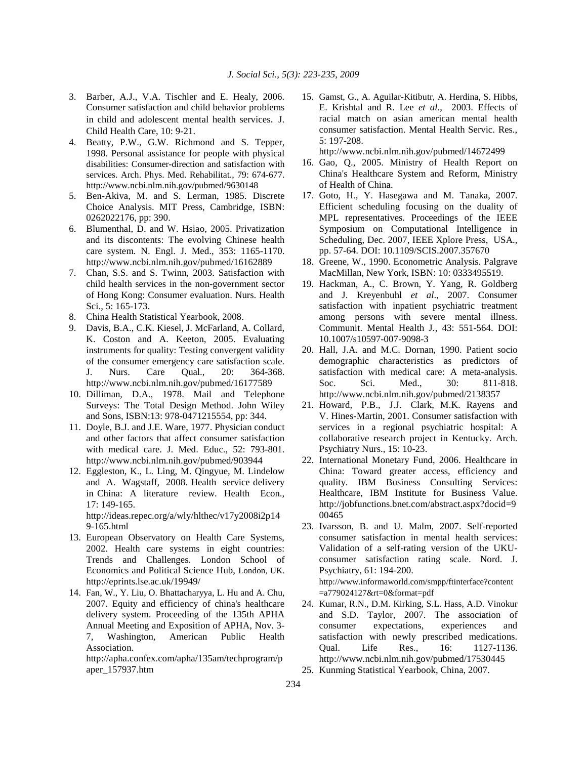- 3. Barber, A.J., V.A. Tischler and E. Healy, 2006. Consumer satisfaction and child behavior problems in child and adolescent mental health services. J. Child Health Care, 10: 9-21.
- 4. Beatty, P.W., G.W. Richmond and S. Tepper, 1998. Personal assistance for people with physical disabilities: Consumer-direction and satisfaction with services. Arch. Phys. Med. Rehabilitat., 79: 674-677. http://www.ncbi.nlm.nih.gov/pubmed/9630148
- 5. Ben-Akiva, M. and S. Lerman, 1985. Discrete Choice Analysis. MIT Press, Cambridge, ISBN: 0262022176, pp: 390.
- 6. Blumenthal, D. and W. Hsiao, 2005. Privatization and its discontents: The evolving Chinese health care system. N. Engl. J. Med., 353: 1165-1170. http://www.ncbi.nlm.nih.gov/pubmed/16162889
- 7. Chan, S.S. and S. Twinn, 2003. Satisfaction with child health services in the non-government sector of Hong Kong: Consumer evaluation. Nurs. Health Sci., 5: 165-173.
- 8. China Health Statistical Yearbook, 2008.
- 9. Davis, B.A., C.K. Kiesel, J. McFarland, A. Collard, K. Coston and A. Keeton, 2005. Evaluating instruments for quality: Testing convergent validity of the consumer emergency care satisfaction scale. J. Nurs. Care Qual., 20: 364-368. http://www.ncbi.nlm.nih.gov/pubmed/16177589
- 10. Dilliman, D.A., 1978. Mail and Telephone Surveys: The Total Design Method. John Wiley and Sons, ISBN:13: 978-0471215554, pp: 344.
- 11. Doyle, B.J. and J.E. Ware, 1977. Physician conduct and other factors that affect consumer satisfaction with medical care. J. Med. Educ., 52: 793-801. http://www.ncbi.nlm.nih.gov/pubmed/903944
- 12. Eggleston, K., L. Ling, M. Qingyue, M. Lindelow and A. Wagstaff, 2008. Health service delivery in China: A literature review. Health Econ., 17: 149-165. http://ideas.repec.org/a/wly/hlthec/v17y2008i2p14 9-165.html
- 13. European Observatory on Health Care Systems, 2002. Health care systems in eight countries: Trends and Challenges. London School of Economics and Political Science Hub, London, UK. http://eprints.lse.ac.uk/19949/
- 14. Fan, W., Y. Liu, O. Bhattacharyya, L. Hu and A. Chu, 2007. Equity and efficiency of china's healthcare delivery system. Proceeding of the 135th APHA Annual Meeting and Exposition of APHA, Nov. 3- 7, Washington, American Public Health Association.

http://apha.confex.com/apha/135am/techprogram/p aper\_157937.htm

- 15. Gamst, G., A. Aguilar-Kitibutr, A. Herdina, S. Hibbs, E. Krishtal and R. Lee *et al*., 2003. Effects of racial match on asian american mental health consumer satisfaction. Mental Health Servic. Res., 5: 197-208.
- http://www.ncbi.nlm.nih.gov/pubmed/14672499 16. Gao, Q., 2005. Ministry of Health Report on China's Healthcare System and Reform, Ministry
- of Health of China. 17. Goto, H., Y. Hasegawa and M. Tanaka, 2007. Efficient scheduling focusing on the duality of MPL representatives. Proceedings of the IEEE
- Symposium on Computational Intelligence in Scheduling, Dec. 2007, IEEE Xplore Press, USA., pp. 57-64. DOI: 10.1109/SCIS.2007.357670
- 18. Greene, W., 1990. Econometric Analysis. Palgrave MacMillan, New York, ISBN: 10: 0333495519.
- 19. Hackman, A., C. Brown, Y. Yang, R. Goldberg and J. Kreyenbuhl *et al*., 2007. Consumer satisfaction with inpatient psychiatric treatment among persons with severe mental illness. Communit. Mental Health J., 43: 551-564. DOI: 10.1007/s10597-007-9098-3
- 20. Hall, J.A. and M.C. Dornan, 1990. Patient socio demographic characteristics as predictors of satisfaction with medical care: A meta-analysis. Soc. Sci. Med., 30: 811-818. http://www.ncbi.nlm.nih.gov/pubmed/2138357
- 21. Howard, P.B., J.J. Clark, M.K. Rayens and V. Hines-Martin, 2001. Consumer satisfaction with services in a regional psychiatric hospital: A collaborative research project in Kentucky. Arch. Psychiatry Nurs., 15: 10-23.
- 22. International Monetary Fund, 2006. Healthcare in China: Toward greater access, efficiency and quality. IBM Business Consulting Services: Healthcare, IBM Institute for Business Value. http://jobfunctions.bnet.com/abstract.aspx?docid=9 00465
- 23. Ivarsson, B. and U. Malm, 2007. Self-reported consumer satisfaction in mental health services: Validation of a self-rating version of the UKUconsumer satisfaction rating scale. Nord. J. Psychiatry, 61: 194-200. http://www.informaworld.com/smpp/ftinterface?content  $=$ a779024127&rt=0&format=pdf
- 24. Kumar, R.N., D.M. Kirking, S.L. Hass, A.D. Vinokur and S.D. Taylor, 2007. The association of consumer expectations, experiences and satisfaction with newly prescribed medications. Qual. Life Res., 16: 1127-1136. http://www.ncbi.nlm.nih.gov/pubmed/17530445
- 25. Kunming Statistical Yearbook, China, 2007.